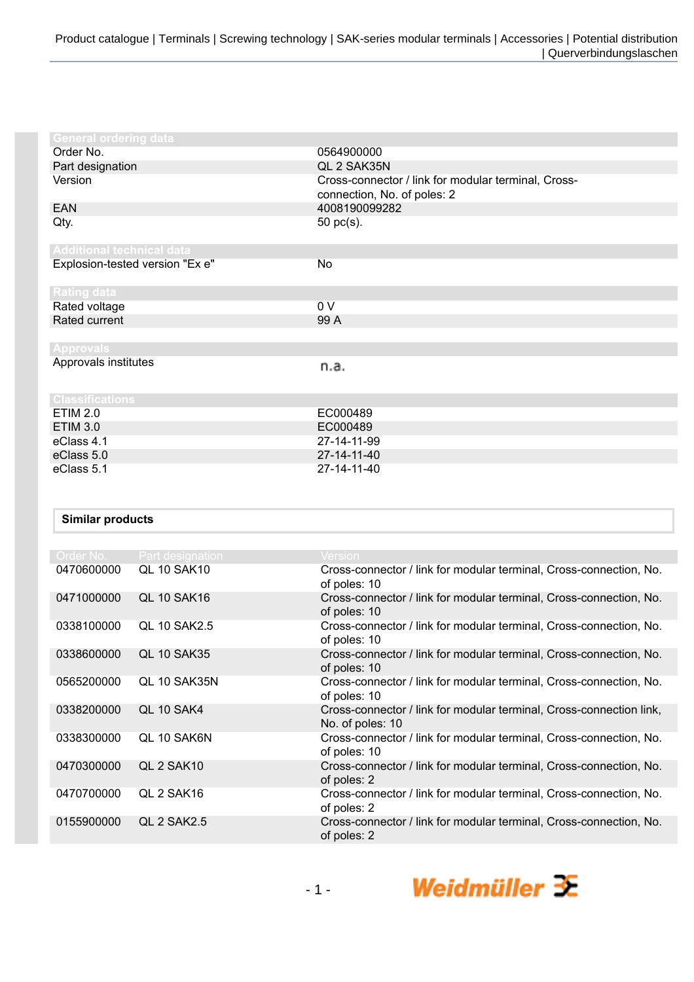| <b>General ordering data</b>     |                                                                                    |
|----------------------------------|------------------------------------------------------------------------------------|
| Order No.                        | 0564900000                                                                         |
| Part designation                 | QL 2 SAK35N                                                                        |
| Version                          | Cross-connector / link for modular terminal, Cross-<br>connection, No. of poles: 2 |
| EAN                              | 4008190099282                                                                      |
| Qty.                             | 50 pc(s).                                                                          |
| <b>Additional technical data</b> |                                                                                    |
| Explosion-tested version "Ex e"  | No                                                                                 |
| <b>Rating data</b>               |                                                                                    |
| Rated voltage                    | 0 V                                                                                |
| Rated current                    | 99 A                                                                               |
|                                  |                                                                                    |
| <b>Approvals</b>                 |                                                                                    |
| Approvals institutes             | n.a.                                                                               |
| <b>Classifications</b>           |                                                                                    |
| <b>ETIM 2.0</b>                  | EC000489                                                                           |
| <b>ETIM 3.0</b>                  | EC000489                                                                           |
| eClass 4.1                       | 27-14-11-99                                                                        |
| eClass 5.0                       | 27-14-11-40                                                                        |
| eClass 5.1                       | 27-14-11-40                                                                        |

## **Similar products**

| Order No.  | <b>Part designation</b> | Version                                                                                 |
|------------|-------------------------|-----------------------------------------------------------------------------------------|
| 0470600000 | QL 10 SAK10             | Cross-connector / link for modular terminal, Cross-connection, No.<br>of poles: 10      |
| 0471000000 | <b>QL 10 SAK16</b>      | Cross-connector / link for modular terminal, Cross-connection, No.<br>of poles: 10      |
| 0338100000 | <b>QL 10 SAK2.5</b>     | Cross-connector / link for modular terminal, Cross-connection, No.<br>of poles: 10      |
| 0338600000 | <b>QL 10 SAK35</b>      | Cross-connector / link for modular terminal, Cross-connection, No.<br>of poles: 10      |
| 0565200000 | OL 10 SAK35N            | Cross-connector / link for modular terminal, Cross-connection, No.<br>of poles: 10      |
| 0338200000 | QL 10 SAK4              | Cross-connector / link for modular terminal, Cross-connection link,<br>No. of poles: 10 |
| 0338300000 | OL 10 SAK6N             | Cross-connector / link for modular terminal, Cross-connection, No.<br>of poles: 10      |
| 0470300000 | QL 2 SAK10              | Cross-connector / link for modular terminal, Cross-connection, No.<br>of poles: 2       |
| 0470700000 | QL 2 SAK16              | Cross-connector / link for modular terminal, Cross-connection, No.<br>of poles: 2       |
| 0155900000 | QL 2 SAK2.5             | Cross-connector / link for modular terminal, Cross-connection, No.<br>of poles: 2       |